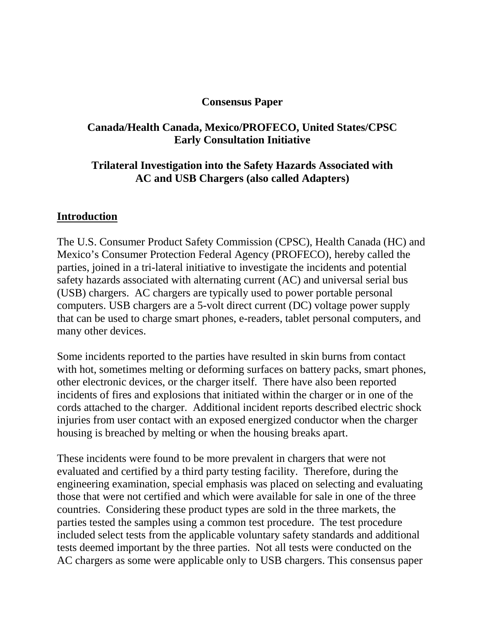#### **Consensus Paper**

## **Canada/Health Canada, Mexico/PROFECO, United States/CPSC Early Consultation Initiative**

## **Trilateral Investigation into the Safety Hazards Associated with AC and USB Chargers (also called Adapters)**

#### **Introduction**

The U.S. Consumer Product Safety Commission (CPSC), Health Canada (HC) and Mexico's Consumer Protection Federal Agency (PROFECO), hereby called the parties, joined in a tri-lateral initiative to investigate the incidents and potential safety hazards associated with alternating current (AC) and universal serial bus (USB) chargers. AC chargers are typically used to power portable personal computers. USB chargers are a 5-volt direct current (DC) voltage power supply that can be used to charge smart phones, e-readers, tablet personal computers, and many other devices.

Some incidents reported to the parties have resulted in skin burns from contact with hot, sometimes melting or deforming surfaces on battery packs, smart phones, other electronic devices, or the charger itself. There have also been reported incidents of fires and explosions that initiated within the charger or in one of the cords attached to the charger. Additional incident reports described electric shock injuries from user contact with an exposed energized conductor when the charger housing is breached by melting or when the housing breaks apart.

These incidents were found to be more prevalent in chargers that were not evaluated and certified by a third party testing facility. Therefore, during the engineering examination, special emphasis was placed on selecting and evaluating those that were not certified and which were available for sale in one of the three countries. Considering these product types are sold in the three markets, the parties tested the samples using a common test procedure. The test procedure included select tests from the applicable voluntary safety standards and additional tests deemed important by the three parties. Not all tests were conducted on the AC chargers as some were applicable only to USB chargers. This consensus paper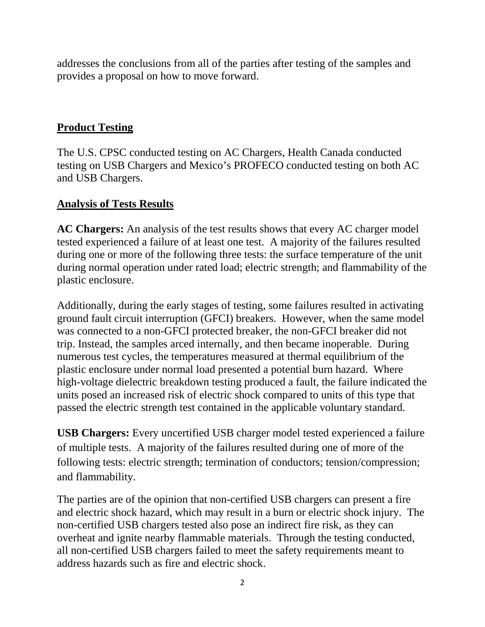addresses the conclusions from all of the parties after testing of the samples and provides a proposal on how to move forward.

# **Product Testing**

The U.S. CPSC conducted testing on AC Chargers, Health Canada conducted testing on USB Chargers and Mexico's PROFECO conducted testing on both AC and USB Chargers.

## **Analysis of Tests Results**

**AC Chargers:** An analysis of the test results shows that every AC charger model tested experienced a failure of at least one test. A majority of the failures resulted during one or more of the following three tests: the surface temperature of the unit during normal operation under rated load; electric strength; and flammability of the plastic enclosure.

Additionally, during the early stages of testing, some failures resulted in activating ground fault circuit interruption (GFCI) breakers. However, when the same model was connected to a non-GFCI protected breaker, the non-GFCI breaker did not trip. Instead, the samples arced internally, and then became inoperable. During numerous test cycles, the temperatures measured at thermal equilibrium of the plastic enclosure under normal load presented a potential burn hazard. Where high-voltage dielectric breakdown testing produced a fault, the failure indicated the units posed an increased risk of electric shock compared to units of this type that passed the electric strength test contained in the applicable voluntary standard.

**USB Chargers:** Every uncertified USB charger model tested experienced a failure of multiple tests. A majority of the failures resulted during one of more of the following tests: electric strength; termination of conductors; tension/compression; and flammability.

The parties are of the opinion that non-certified USB chargers can present a fire and electric shock hazard, which may result in a burn or electric shock injury. The non-certified USB chargers tested also pose an indirect fire risk, as they can overheat and ignite nearby flammable materials. Through the testing conducted, all non-certified USB chargers failed to meet the safety requirements meant to address hazards such as fire and electric shock.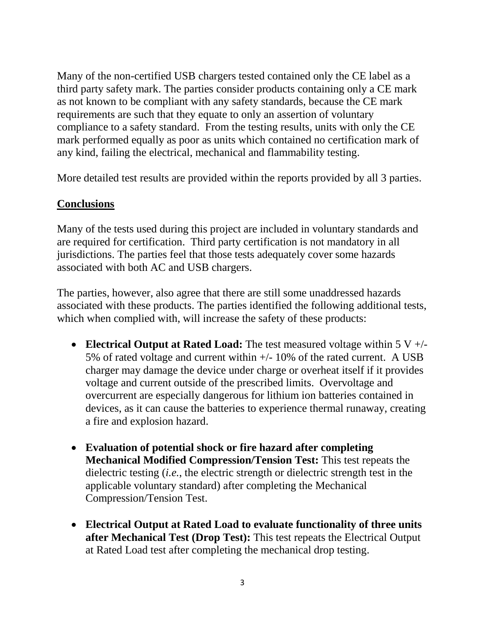Many of the non-certified USB chargers tested contained only the CE label as a third party safety mark. The parties consider products containing only a CE mark as not known to be compliant with any safety standards, because the CE mark requirements are such that they equate to only an assertion of voluntary compliance to a safety standard. From the testing results, units with only the CE mark performed equally as poor as units which contained no certification mark of any kind, failing the electrical, mechanical and flammability testing.

More detailed test results are provided within the reports provided by all 3 parties.

## **Conclusions**

Many of the tests used during this project are included in voluntary standards and are required for certification. Third party certification is not mandatory in all jurisdictions. The parties feel that those tests adequately cover some hazards associated with both AC and USB chargers.

The parties, however, also agree that there are still some unaddressed hazards associated with these products. The parties identified the following additional tests, which when complied with, will increase the safety of these products:

- **Electrical Output at Rated Load:** The test measured voltage within 5 V +/- 5% of rated voltage and current within +/- 10% of the rated current. A USB charger may damage the device under charge or overheat itself if it provides voltage and current outside of the prescribed limits. Overvoltage and overcurrent are especially dangerous for lithium ion batteries contained in devices, as it can cause the batteries to experience thermal runaway, creating a fire and explosion hazard.
- **Evaluation of potential shock or fire hazard after completing Mechanical Modified Compression/Tension Test:** This test repeats the dielectric testing (*i.e.*, the electric strength or dielectric strength test in the applicable voluntary standard) after completing the Mechanical Compression/Tension Test.
- **Electrical Output at Rated Load to evaluate functionality of three units after Mechanical Test (Drop Test):** This test repeats the Electrical Output at Rated Load test after completing the mechanical drop testing.